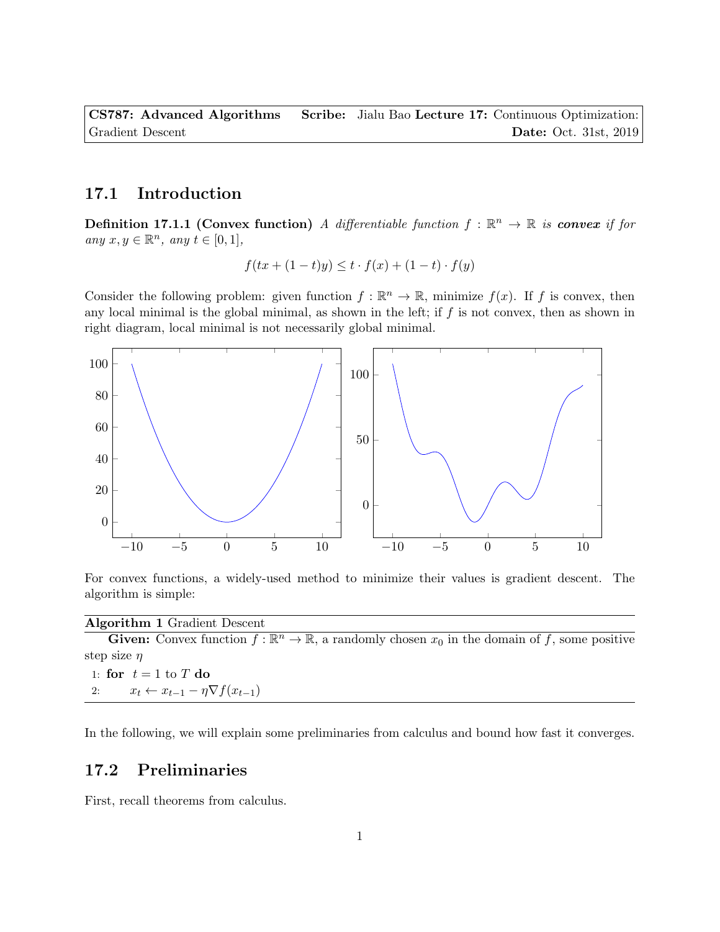CS787: Advanced Algorithms Scribe: Jialu Bao Lecture 17: Continuous Optimization: Gradient Descent **Descent** Descent **Date: Oct. 31st, 2019** 

## 17.1 Introduction

**Definition 17.1.1 (Convex function)** A differentiable function  $f : \mathbb{R}^n \to \mathbb{R}$  is **convex** if for any  $x, y \in \mathbb{R}^n$ , any  $t \in [0, 1]$ ,

$$
f(tx + (1-t)y) \le t \cdot f(x) + (1-t) \cdot f(y)
$$

Consider the following problem: given function  $f : \mathbb{R}^n \to \mathbb{R}$ , minimize  $f(x)$ . If f is convex, then any local minimal is the global minimal, as shown in the left; if  $f$  is not convex, then as shown in right diagram, local minimal is not necessarily global minimal.



For convex functions, a widely-used method to minimize their values is gradient descent. The algorithm is simple:

Algorithm 1 Gradient Descent

**Given:** Convex function  $f : \mathbb{R}^n \to \mathbb{R}$ , a randomly chosen  $x_0$  in the domain of f, some positive step size  $\eta$ 1: for  $t = 1$  to T do 2:  $x_t \leftarrow x_{t-1} - \eta \nabla f(x_{t-1})$ 

In the following, we will explain some preliminaries from calculus and bound how fast it converges.

## 17.2 Preliminaries

First, recall theorems from calculus.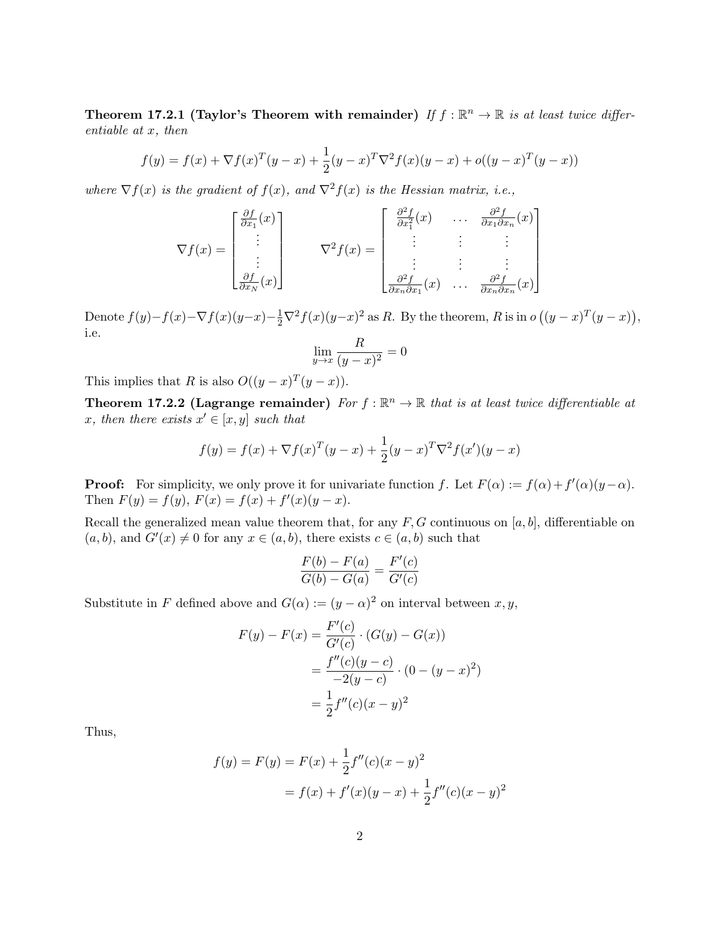Theorem 17.2.1 (Taylor's Theorem with remainder) If  $f : \mathbb{R}^n \to \mathbb{R}$  is at least twice differentiable at x, then

$$
f(y) = f(x) + \nabla f(x)^{T} (y - x) + \frac{1}{2} (y - x)^{T} \nabla^{2} f(x) (y - x) + o((y - x)^{T} (y - x))
$$

where  $\nabla f(x)$  is the gradient of  $f(x)$ , and  $\nabla^2 f(x)$  is the Hessian matrix, i.e.,

$$
\nabla f(x) = \begin{bmatrix} \frac{\partial f}{\partial x_1}(x) \\ \vdots \\ \frac{\partial f}{\partial x_N}(x) \end{bmatrix} \qquad \nabla^2 f(x) = \begin{bmatrix} \frac{\partial^2 f}{\partial x_1^2}(x) & \dots & \frac{\partial^2 f}{\partial x_1 \partial x_n}(x) \\ \vdots & \vdots & \vdots \\ \frac{\partial^2 f}{\partial x_n \partial x_1}(x) & \dots & \frac{\partial^2 f}{\partial x_n \partial x_n}(x) \end{bmatrix}
$$

Denote  $f(y)-f(x)-\nabla f(x)(y-x)-\frac{1}{2}\nabla^2 f(x)(y-x)^2$  as R. By the theorem, R is in  $o((y-x)^T(y-x)),$ i.e.

$$
\lim_{y \to x} \frac{R}{(y - x)^2} = 0
$$

This implies that R is also  $O((y-x)^T(y-x))$ .

**Theorem 17.2.2 (Lagrange remainder)** For  $f : \mathbb{R}^n \to \mathbb{R}$  that is at least twice differentiable at x, then there exists  $x' \in [x, y]$  such that

$$
f(y) = f(x) + \nabla f(x)^{T} (y - x) + \frac{1}{2} (y - x)^{T} \nabla^{2} f(x') (y - x)
$$

**Proof:** For simplicity, we only prove it for univariate function f. Let  $F(\alpha) := f(\alpha) + f'(\alpha)(y - \alpha)$ . Then  $F(y) = f(y)$ ,  $F(x) = f(x) + f'(x)(y - x)$ .

Recall the generalized mean value theorem that, for any  $F, G$  continuous on [a, b], differentiable on  $(a, b)$ , and  $G'(x) \neq 0$  for any  $x \in (a, b)$ , there exists  $c \in (a, b)$  such that

$$
\frac{F(b) - F(a)}{G(b) - G(a)} = \frac{F'(c)}{G'(c)}
$$

Substitute in F defined above and  $G(\alpha) := (y - \alpha)^2$  on interval between  $x, y$ ,

$$
F(y) - F(x) = \frac{F'(c)}{G'(c)} \cdot (G(y) - G(x))
$$
  
= 
$$
\frac{f''(c)(y - c)}{-2(y - c)} \cdot (0 - (y - x)^2)
$$
  
= 
$$
\frac{1}{2}f''(c)(x - y)^2
$$

Thus,

$$
f(y) = F(y) = F(x) + \frac{1}{2}f''(c)(x - y)^2
$$
  
=  $f(x) + f'(x)(y - x) + \frac{1}{2}f''(c)(x - y)^2$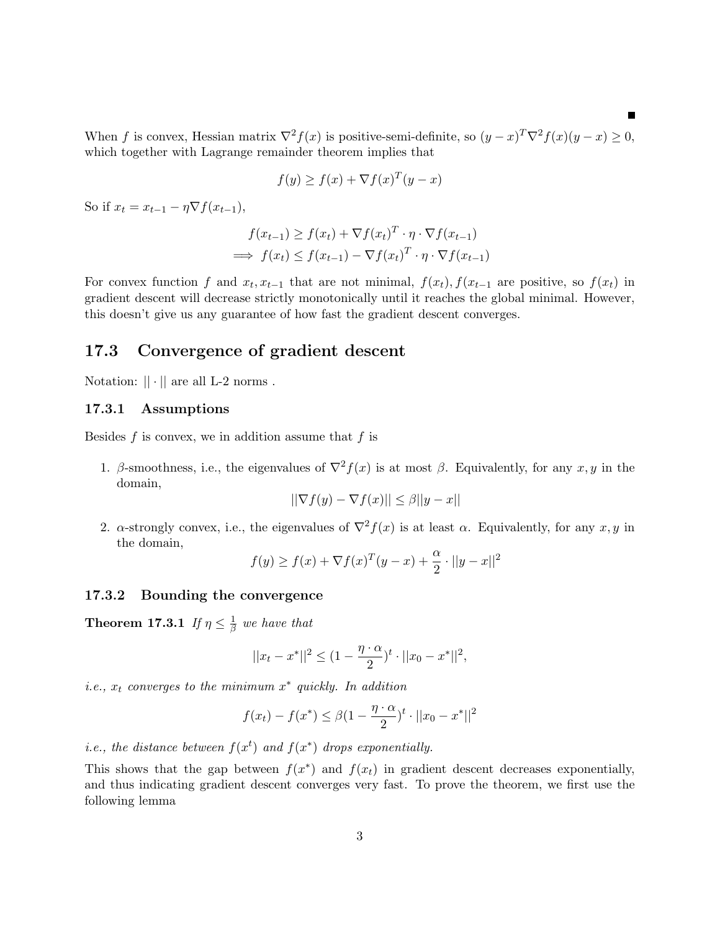When f is convex, Hessian matrix  $\nabla^2 f(x)$  is positive-semi-definite, so  $(y-x)^T \nabla^2 f(x) (y-x) \geq 0$ , which together with Lagrange remainder theorem implies that

$$
f(y) \ge f(x) + \nabla f(x)^T (y - x)
$$

So if  $x_t = x_{t-1} - \eta \nabla f(x_{t-1}),$ 

$$
f(x_{t-1}) \ge f(x_t) + \nabla f(x_t)^T \cdot \eta \cdot \nabla f(x_{t-1})
$$
  
\n
$$
\implies f(x_t) \le f(x_{t-1}) - \nabla f(x_t)^T \cdot \eta \cdot \nabla f(x_{t-1})
$$

For convex function f and  $x_t, x_{t-1}$  that are not minimal,  $f(x_t), f(x_{t-1})$  are positive, so  $f(x_t)$  in gradient descent will decrease strictly monotonically until it reaches the global minimal. However, this doesn't give us any guarantee of how fast the gradient descent converges.

### 17.3 Convergence of gradient descent

Notation:  $|| \cdot ||$  are all L-2 norms.

#### 17.3.1 Assumptions

Besides  $f$  is convex, we in addition assume that  $f$  is

1. β-smoothness, i.e., the eigenvalues of  $\nabla^2 f(x)$  is at most β. Equivalently, for any x, y in the domain,

$$
||\nabla f(y) - \nabla f(x)|| \le \beta ||y - x||
$$

2. α-strongly convex, i.e., the eigenvalues of  $\nabla^2 f(x)$  is at least  $\alpha$ . Equivalently, for any  $x, y$  in the domain,

$$
f(y) \ge f(x) + \nabla f(x)^T (y - x) + \frac{\alpha}{2} \cdot ||y - x||^2
$$

#### 17.3.2 Bounding the convergence

<span id="page-2-0"></span>Theorem 17.3.1 If  $\eta \leq \frac{1}{\beta}$  $\frac{1}{\beta}$  we have that

$$
||x_t - x^*||^2 \le (1 - \frac{\eta \cdot \alpha}{2})^t \cdot ||x_0 - x^*||^2,
$$

*i.e.*,  $x_t$  converges to the minimum  $x^*$  quickly. In addition

$$
f(x_t) - f(x^*) \le \beta (1 - \frac{\eta \cdot \alpha}{2})^t \cdot ||x_0 - x^*||^2
$$

*i.e.*, the distance between  $f(x^t)$  and  $f(x^*)$  drops exponentially.

<span id="page-2-1"></span>This shows that the gap between  $f(x^*)$  and  $f(x_t)$  in gradient descent decreases exponentially, and thus indicating gradient descent converges very fast. To prove the theorem, we first use the following lemma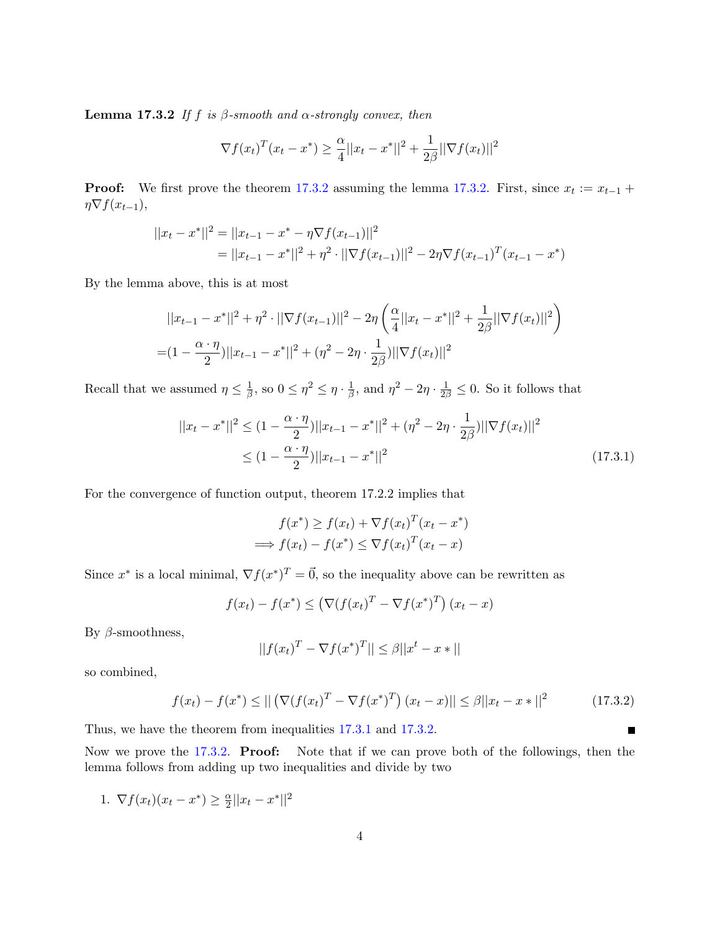**Lemma 17.3.2** If f is  $\beta$ -smooth and  $\alpha$ -strongly convex, then

$$
\nabla f(x_t)^T (x_t - x^*) \ge \frac{\alpha}{4} ||x_t - x^*||^2 + \frac{1}{2\beta} ||\nabla f(x_t)||^2
$$

**Proof:** We first prove the theorem [17.3.2](#page-2-0) assuming the lemma [17.3.2.](#page-2-1) First, since  $x_t := x_{t-1} +$  $\eta \nabla f(x_{t-1}),$ 

$$
||x_t - x^*||^2 = ||x_{t-1} - x^* - \eta \nabla f(x_{t-1})||^2
$$
  
= 
$$
||x_{t-1} - x^*||^2 + \eta^2 \cdot ||\nabla f(x_{t-1})||^2 - 2\eta \nabla f(x_{t-1})^T (x_{t-1} - x^*)
$$

By the lemma above, this is at most

$$
||x_{t-1} - x^*||^2 + \eta^2 \cdot ||\nabla f(x_{t-1})||^2 - 2\eta \left(\frac{\alpha}{4}||x_t - x^*||^2 + \frac{1}{2\beta}||\nabla f(x_t)||^2\right)
$$
  
= 
$$
(1 - \frac{\alpha \cdot \eta}{2})||x_{t-1} - x^*||^2 + (\eta^2 - 2\eta \cdot \frac{1}{2\beta})||\nabla f(x_t)||^2
$$

Recall that we assumed  $\eta \leq \frac{1}{\beta}$  $\frac{1}{\beta}$ , so  $0 \leq \eta^2 \leq \eta \cdot \frac{1}{\beta}$  $\frac{1}{\beta}$ , and  $\eta^2 - 2\eta \cdot \frac{1}{2\beta} \leq 0$ . So it follows that

$$
||x_t - x^*||^2 \le (1 - \frac{\alpha \cdot \eta}{2})||x_{t-1} - x^*||^2 + (\eta^2 - 2\eta \cdot \frac{1}{2\beta})||\nabla f(x_t)||^2
$$
  
 
$$
\le (1 - \frac{\alpha \cdot \eta}{2})||x_{t-1} - x^*||^2
$$
 (17.3.1)

For the convergence of function output, theorem 17.2.2 implies that

$$
f(x^*) \ge f(x_t) + \nabla f(x_t)^T (x_t - x^*)
$$
  
\n
$$
\implies f(x_t) - f(x^*) \le \nabla f(x_t)^T (x_t - x)
$$

Since  $x^*$  is a local minimal,  $\nabla f(x^*)^T = \vec{0}$ , so the inequality above can be rewritten as

$$
f(x_t) - f(x^*) \leq \left(\nabla (f(x_t)^T - \nabla f(x^*)^T)\right)(x_t - x)
$$

By  $β$ -smoothness,

$$
||f(x_t)^T - \nabla f(x^*)^T|| \le \beta ||x^t - x*||
$$

so combined,

$$
f(x_t) - f(x^*) \le ||(\nabla (f(x_t)^T - \nabla f(x^*)^T)(x_t - x)|| \le \beta ||x_t - x^*||^2
$$
\n(17.3.2)

<span id="page-3-1"></span><span id="page-3-0"></span>П

Thus, we have the theorem from inequalities [17.3.1](#page-3-0) and [17.3.2.](#page-3-1)

Now we prove the [17.3.2.](#page-2-1) **Proof:** Note that if we can prove both of the followings, then the lemma follows from adding up two inequalities and divide by two

1.  $\nabla f(x_t)(x_t - x^*) \geq \frac{\alpha}{2}$  $\frac{\alpha}{2}||x_t - x^*||^2$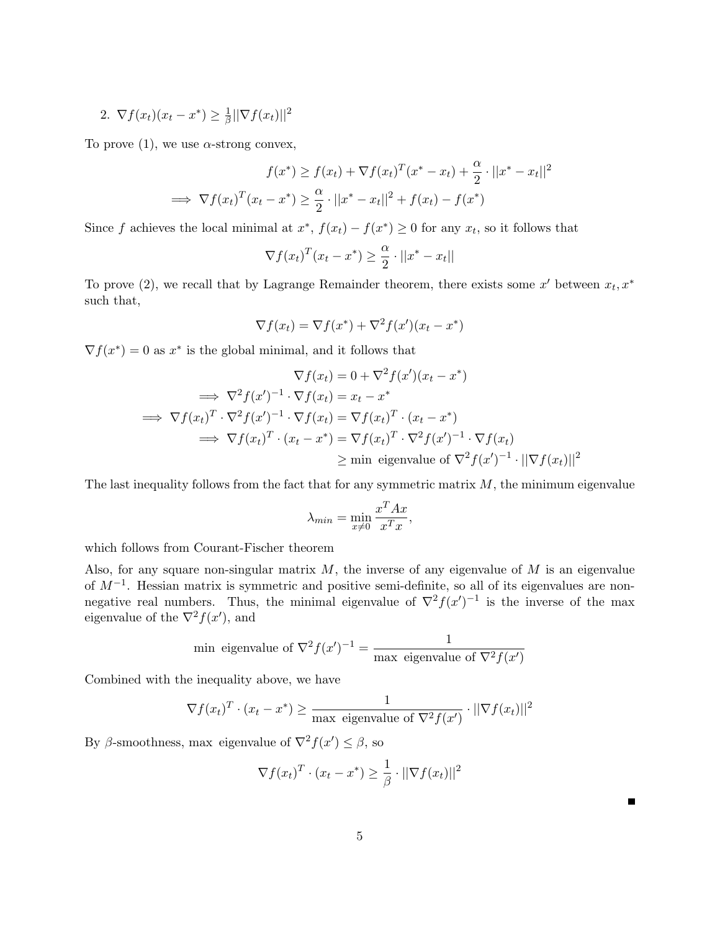2. 
$$
\nabla f(x_t)(x_t - x^*) \geq \frac{1}{\beta} ||\nabla f(x_t)||^2
$$

To prove (1), we use  $\alpha$ -strong convex,

$$
f(x^*) \ge f(x_t) + \nabla f(x_t)^T (x^* - x_t) + \frac{\alpha}{2} \cdot ||x^* - x_t||^2
$$
  
\n
$$
\implies \nabla f(x_t)^T (x_t - x^*) \ge \frac{\alpha}{2} \cdot ||x^* - x_t||^2 + f(x_t) - f(x^*)
$$

Since f achieves the local minimal at  $x^*$ ,  $f(x_t) - f(x^*) \geq 0$  for any  $x_t$ , so it follows that

$$
\nabla f(x_t)^T (x_t - x^*) \ge \frac{\alpha}{2} \cdot ||x^* - x_t||
$$

To prove (2), we recall that by Lagrange Remainder theorem, there exists some  $x'$  between  $x_t, x^*$ such that,

$$
\nabla f(x_t) = \nabla f(x^*) + \nabla^2 f(x')(x_t - x^*)
$$

 $\nabla f(x^*) = 0$  as  $x^*$  is the global minimal, and it follows that

$$
\nabla f(x_t) = 0 + \nabla^2 f(x')(x_t - x^*)
$$
  
\n
$$
\implies \nabla^2 f(x')^{-1} \cdot \nabla f(x_t) = x_t - x^*
$$
  
\n
$$
\implies \nabla f(x_t)^T \cdot \nabla^2 f(x')^{-1} \cdot \nabla f(x_t) = \nabla f(x_t)^T \cdot (x_t - x^*)
$$
  
\n
$$
\implies \nabla f(x_t)^T \cdot (x_t - x^*) = \nabla f(x_t)^T \cdot \nabla^2 f(x')^{-1} \cdot \nabla f(x_t)
$$
  
\n
$$
\ge \text{min eigenvalue of } \nabla^2 f(x')^{-1} \cdot ||\nabla f(x_t)||^2
$$

The last inequality follows from the fact that for any symmetric matrix  $M$ , the minimum eigenvalue

$$
\lambda_{min} = \min_{x \neq 0} \frac{x^T A x}{x^T x},
$$

which follows from Courant-Fischer theorem

Also, for any square non-singular matrix  $M$ , the inverse of any eigenvalue of  $M$  is an eigenvalue of  $M^{-1}$ . Hessian matrix is symmetric and positive semi-definite, so all of its eigenvalues are nonnegative real numbers. Thus, the minimal eigenvalue of  $\nabla^2 f(x')^{-1}$  is the inverse of the max eigenvalue of the  $\nabla^2 f(x')$ , and

min eigenvalue of 
$$
\nabla^2 f(x')^{-1} = \frac{1}{\max_{x \in \text{genvalue of } \nabla^2 f(x')}
$$

Combined with the inequality above, we have

$$
\nabla f(x_t)^T \cdot (x_t - x^*) \ge \frac{1}{\max \text{ eigenvalue of } \nabla^2 f(x')} \cdot ||\nabla f(x_t)||^2
$$

By  $\beta$ -smoothness, max eigenvalue of  $\nabla^2 f(x') \leq \beta$ , so

$$
\nabla f(x_t)^T \cdot (x_t - x^*) \ge \frac{1}{\beta} \cdot ||\nabla f(x_t)||^2
$$